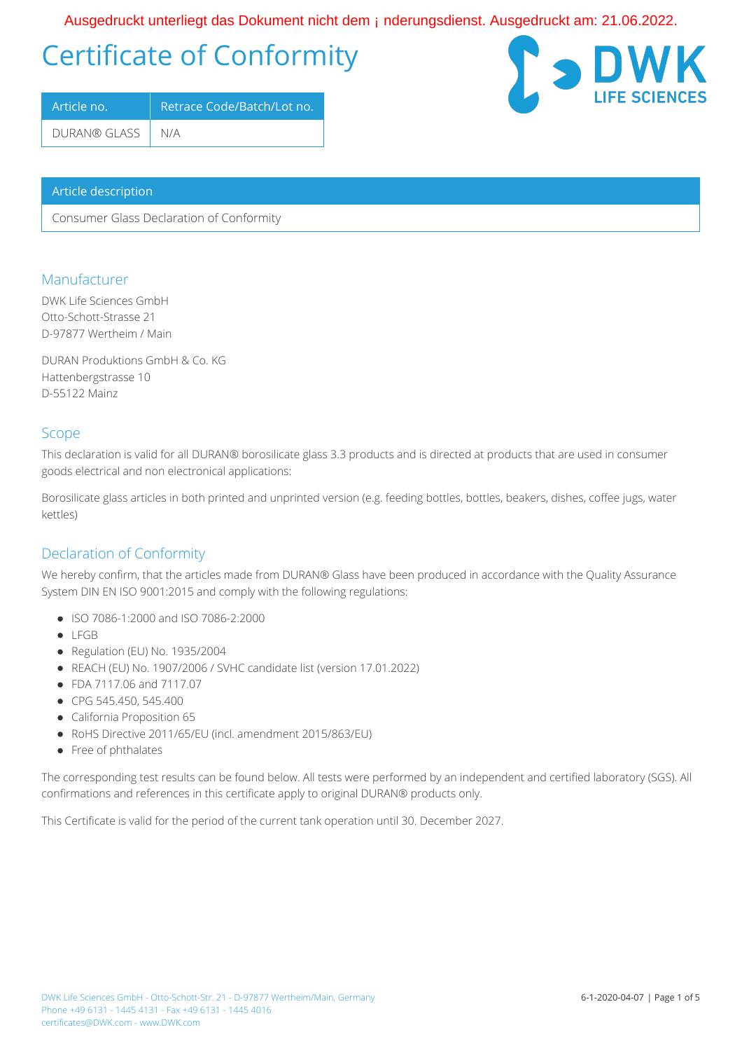## OE • \* ^ å | ` & d { } c' | a \* ok as AO | \ ` { ^ } ch a & or kan { A } à ^ | ` } \* • å a } • de CE • \* ^ å | ` & ok e KAO FEE EGEOGE

# Certificate of Conformity

| Article no.        | Retrace Code/Batch/Lot no. |  |  |  |  |
|--------------------|----------------------------|--|--|--|--|
| DURAN® GLASS   N/A |                            |  |  |  |  |

#### Article description

Consumer Glass Declaration of Conformity

#### Manufacturer

DWK Life Sciences GmbH Otto-Schott-Strasse 21 D-97877 Wertheim / Main

DURAN Produktions GmbH & Co. KG Hattenbergstrasse 10 D-55122 Mainz

#### Scope

This declaration is valid for all DURAN® borosilicate glass 3.3 products and is directed at products that are used in consumer goods electrical and non electronical applications:

Borosilicate glass articles in both printed and unprinted version (e.g. feeding bottles, bottles, beakers, dishes, coffee jugs, water kettles)

#### Declaration of Conformity

We hereby confirm, that the articles made from DURAN® Glass have been produced in accordance with the Quality Assurance System DIN EN ISO 9001:2015 and comply with the following regulations:

- ISO 7086-1:2000 and ISO 7086-2:2000
- LFGB
- Regulation (EU) No. 1935/2004
- REACH (EU) No. 1907/2006 / SVHC candidate list (version 17.01.2022)
- FDA 7117.06 and 7117.07
- CPG 545.450, 545.400
- California Proposition 65
- RoHS Directive 2011/65/EU (incl. amendment 2015/863/EU)
- Free of phthalates

The corresponding test results can be found below. All tests were performed by an independent and certified laboratory (SGS). All confirmations and references in this certificate apply to original DURAN® products only.

This Certificate is valid for the period of the current tank operation until 30. December 2027.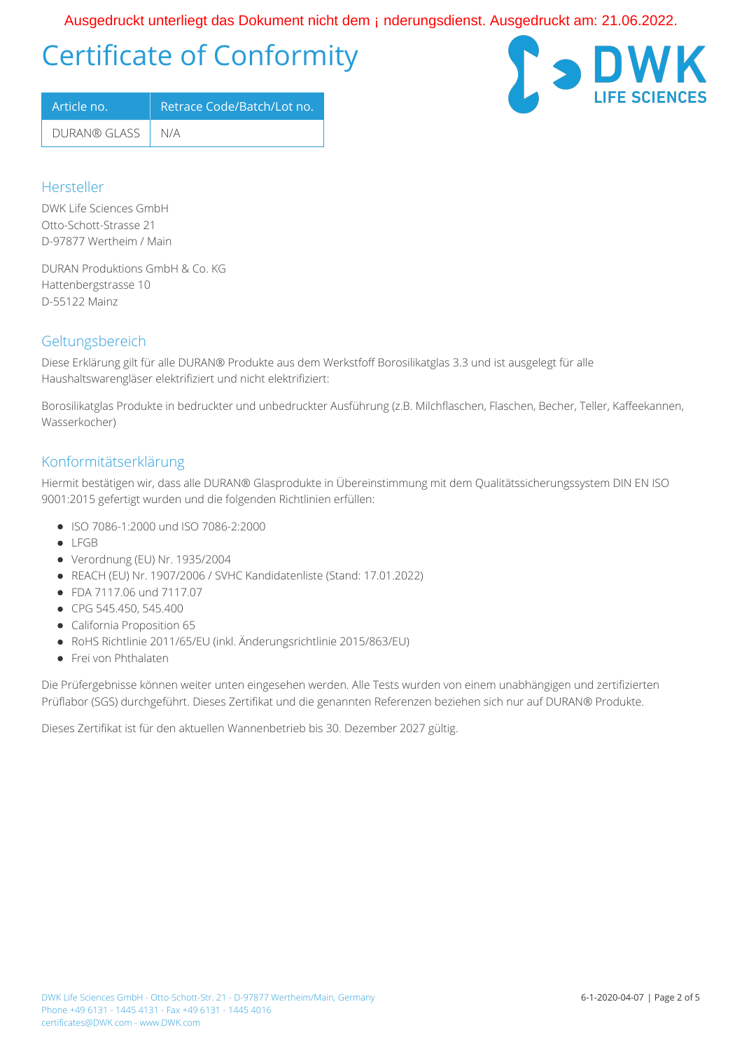OE • \* ^ å | ` & d { } c' | a \* ok as AO | \ ` { ^ } ch a & or kan { A } à ^ | ` } \* • å a } • de CE • \* ^ å | ` & ok e KAO FEE EGEOGE

# Certificate of Conformity

| Article no.        | Retrace Code/Batch/Lot no. |
|--------------------|----------------------------|
| DURAN® GLASS   N/A |                            |



#### Hersteller

DWK Life Sciences GmbH Otto-Schott-Strasse 21 D-97877 Wertheim / Main

DURAN Produktions GmbH & Co. KG Hattenbergstrasse 10 D-55122 Mainz

### Geltungsbereich

Diese Erklärung gilt für alle DURAN® Produkte aus dem Werkstfoff Borosilikatglas 3.3 und ist ausgelegt für alle Haushaltswarengläser elektrifiziert und nicht elektrifiziert:

Borosilikatglas Produkte in bedruckter und unbedruckter Ausführung (z.B. Milchflaschen, Flaschen, Becher, Teller, Kaffeekannen, Wasserkocher)

#### Konformitätserklärung

Hiermit bestätigen wir, dass alle DURAN® Glasprodukte in Übereinstimmung mit dem Qualitätssicherungssystem DIN EN ISO 9001:2015 gefertigt wurden und die folgenden Richtlinien erfüllen:

- ISO 7086-1:2000 und ISO 7086-2:2000
- $\bullet$  LEGB
- Verordnung (EU) Nr. 1935/2004
- REACH (EU) Nr. 1907/2006 / SVHC Kandidatenliste (Stand: 17.01.2022)
- FDA 7117.06 und 7117.07
- CPG 545.450, 545.400
- California Proposition 65
- RoHS Richtlinie 2011/65/EU (inkl. Änderungsrichtlinie 2015/863/EU)
- **•** Frei von Phthalaten

Die Prüfergebnisse können weiter unten eingesehen werden. Alle Tests wurden von einem unabhängigen und zertifizierten Prüflabor (SGS) durchgeführt. Dieses Zertifikat und die genannten Referenzen beziehen sich nur auf DURAN® Produkte.

Dieses Zertifikat ist für den aktuellen Wannenbetrieb bis 30. Dezember 2027 gültig.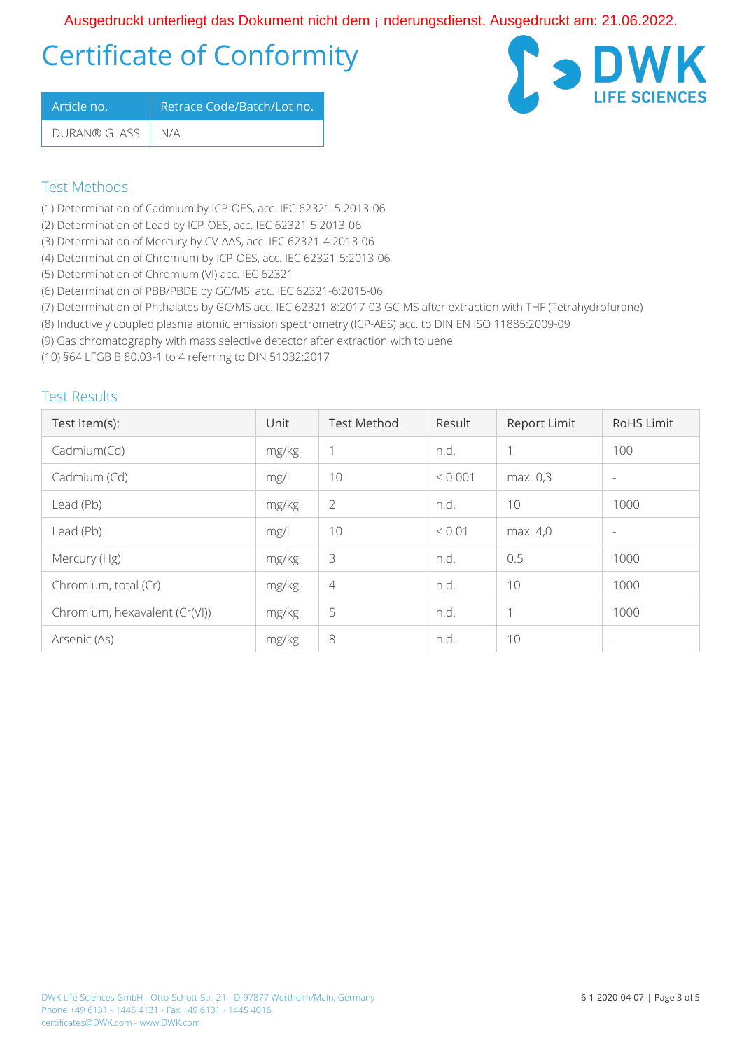OE • \* ^ å | " & 1 ok | g \* 1 a \* ok as AÖ | 1 ° { ^ } oh & @ k ^ { 4 } å ^ | " } \* • å a } • de Te = \* ^ å | " & ok af KAGFDED EGEOGED

# Certificate of Conformity

| Article no.        | Retrace Code/Batch/Lot no. |
|--------------------|----------------------------|
| DURAN® GLASS   N/A |                            |



### Test Methods

- (1) Determination of Cadmium by ICP-OES, acc. IEC 62321-5:2013-06
- (2) Determination of Lead by ICP-OES, acc. IEC 62321-5:2013-06
- (3) Determination of Mercury by CV-AAS, acc. IEC 62321-4:2013-06
- (4) Determination of Chromium by ICP-OES, acc. IEC 62321-5:2013-06
- (5) Determination of Chromium (VI) acc. IEC 62321
- (6) Determination of PBB/PBDE by GC/MS, acc. IEC 62321-6:2015-06
- (7) Determination of Phthalates by GC/MS acc. IEC 62321-8:2017-03 GC-MS after extraction with THF (Tetrahydrofurane)
- (8) Inductively coupled plasma atomic emission spectrometry (ICP-AES) acc. to DIN EN ISO 11885:2009-09
- (9) Gas chromatography with mass selective detector after extraction with toluene

(10) §64 LFGB B 80.03-1 to 4 referring to DIN 51032:2017

### Test Results

| Test Item(s):                 | Unit  | <b>Test Method</b> | Result<br>Report Limit  |          | <b>RoHS Limit</b>        |
|-------------------------------|-------|--------------------|-------------------------|----------|--------------------------|
| Cadmium(Cd)                   | mg/kg | 1                  | n.d.                    | 1        | 100                      |
| Cadmium (Cd)                  | mg/l  | 10                 | ${}< 0.001$<br>max. 0.3 |          | $\overline{\phantom{a}}$ |
| Lead (Pb)                     | mg/kg | 2                  | 10<br>n.d.              |          | 1000                     |
| Lead (Pb)                     | mg/l  | 10                 | < 0.01                  | max. 4,0 | $\overline{\phantom{a}}$ |
| Mercury (Hg)                  | mg/kg | 3                  | n.d.                    | 0.5      | 1000                     |
| Chromium, total (Cr)          | mg/kg | $\overline{4}$     | n.d.                    | 10       | 1000                     |
| Chromium, hexavalent (Cr(VI)) | mg/kg | 5                  | n.d.                    | 1        | 1000                     |
| Arsenic (As)                  | mg/kg | 8                  | n.d.                    | 10       | $\overline{\phantom{a}}$ |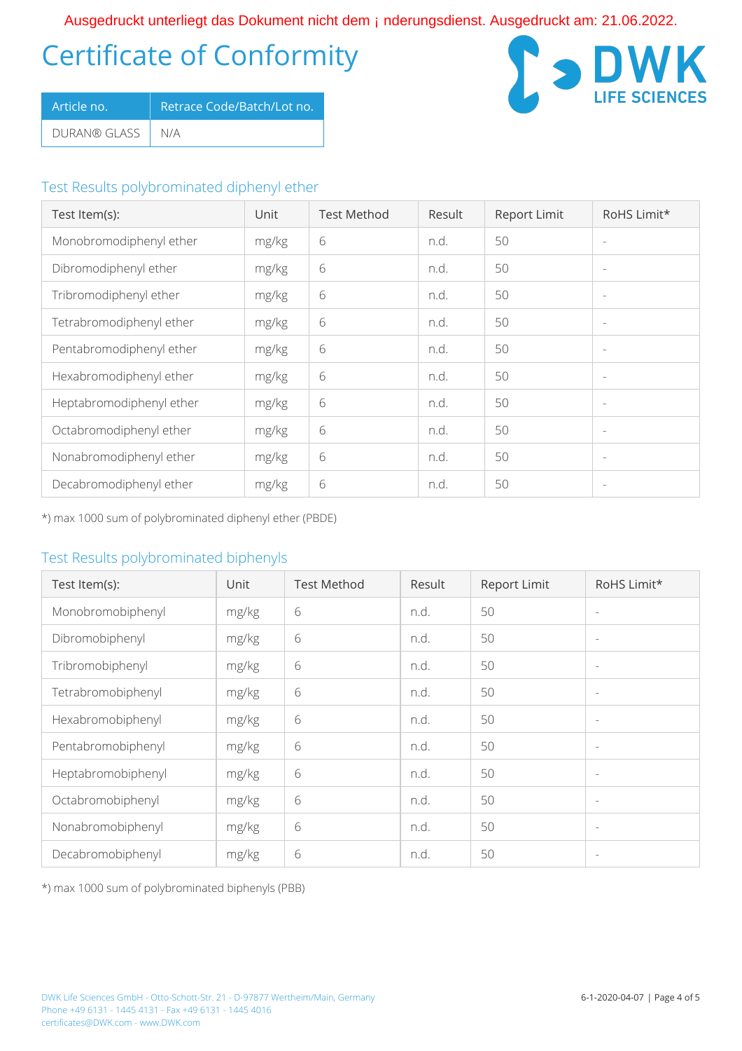# Certificate of Conformity OE • \* ^ å¦ č & oÁ } c ' | a \* o \$ ae AÖ [ \ ` { ^ } o } a & @ \$ ^ { A } å ^ ¦ ` } \* • å a } • d a E · \* ^ å ¦ ` & o { a { k { F r E } E } E } E }

| LArticle no. '   | Retrace Code/Batch/Lot no. |
|------------------|----------------------------|
| DURAN® GLASS N/A |                            |



### Test Results polybrominated diphenyl ether

| Test Item(s):            | Unit  | <b>Test Method</b> | Result | Report Limit | RoHS Limit*              |
|--------------------------|-------|--------------------|--------|--------------|--------------------------|
| Monobromodiphenyl ether  | mg/kg | 6                  | n.d.   | 50           |                          |
| Dibromodiphenyl ether    | mg/kg | 6                  | n.d.   | 50           |                          |
| Tribromodiphenyl ether   | mg/kg | 6                  | n.d.   | 50           | $\sim$                   |
| Tetrabromodiphenyl ether | mg/kg | 6                  | n.d.   | 50           | $\overline{\phantom{a}}$ |
| Pentabromodiphenyl ether | mg/kg | 6                  | n.d.   | 50           |                          |
| Hexabromodiphenyl ether  | mg/kg | 6                  | n.d.   | 50           | $\overline{\phantom{a}}$ |
| Heptabromodiphenyl ether | mg/kg | 6                  | n.d.   | 50           | $\overline{\phantom{a}}$ |
| Octabromodiphenyl ether  | mg/kg | 6                  | n.d.   | 50           | $\overline{\phantom{a}}$ |
| Nonabromodiphenyl ether  | mg/kg | 6                  | n.d.   | 50           | $\overline{\phantom{a}}$ |
| Decabromodiphenyl ether  | mg/kg | 6                  | n.d.   | 50           |                          |

\*) max 1000 sum of polybrominated diphenyl ether (PBDE)

### Test Results polybrominated biphenyls

| Test Item(s):      | Unit  | <b>Test Method</b> | Result | Report Limit | RoHS Limit*              |
|--------------------|-------|--------------------|--------|--------------|--------------------------|
| Monobromobiphenyl  | mg/kg | 6                  | n.d.   | 50           | $\overline{\phantom{a}}$ |
| Dibromobiphenyl    | mg/kg | 6                  | n.d.   | 50           | $\overline{\phantom{a}}$ |
| Tribromobiphenyl   | mg/kg | 6                  | n.d.   | 50           | $\overline{\phantom{a}}$ |
| Tetrabromobiphenyl | mg/kg | 6                  | n.d.   | 50           | $\overline{\phantom{a}}$ |
| Hexabromobiphenyl  | mg/kg | 6                  | n.d.   | 50           | $\overline{\phantom{a}}$ |
| Pentabromobiphenyl | mg/kg | 6                  | n.d.   | 50           | $\overline{\phantom{a}}$ |
| Heptabromobiphenyl | mg/kg | 6                  | n.d.   | 50           | $\overline{\phantom{a}}$ |
| Octabromobiphenyl  | mg/kg | 6                  | n.d.   | 50           | $\overline{\phantom{a}}$ |
| Nonabromobiphenyl  | mg/kg | 6                  | n.d.   | 50           | $\overline{\phantom{a}}$ |
| Decabromobiphenyl  | mg/kg | 6                  | n.d.   | 50           | $\overline{\phantom{a}}$ |

\*) max 1000 sum of polybrominated biphenyls (PBB)